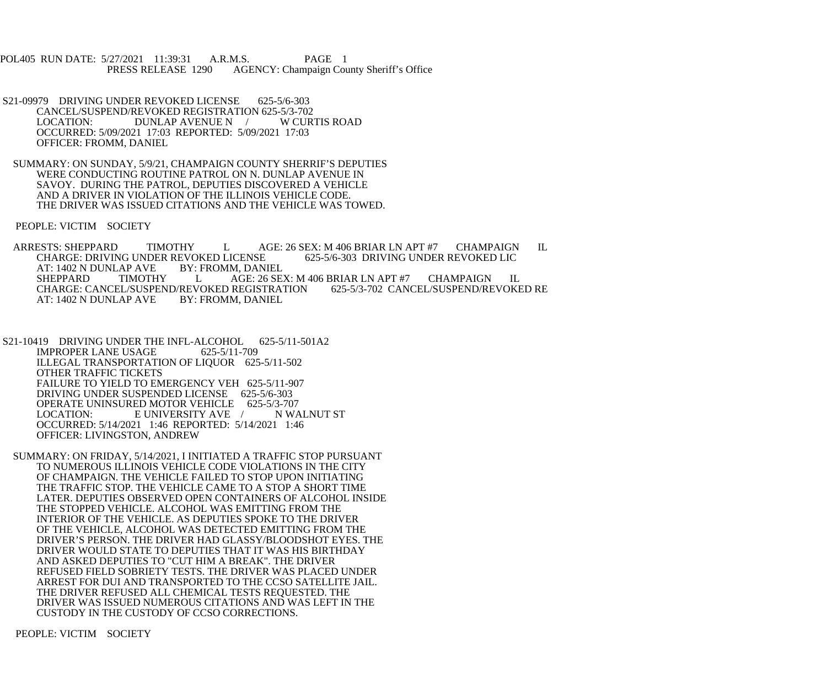POL405 RUN DATE: 5/27/2021 11:39:31 A.R.M.S. PAGE 1<br>PRESS RELEASE 1290 AGENCY: Champaign Cou AGENCY: Champaign County Sheriff's Office

- S21-09979 DRIVING UNDER REVOKED LICENSE 625-5/6-303 CANCEL/SUSPEND/REVOKED REGISTRATION 625-5/3-702 LOCATION: DUNLAP AVENUE N / W CURTIS ROAD OCCURRED: 5/09/2021 17:03 REPORTED: 5/09/2021 17:03 OFFICER: FROMM, DANIEL
- SUMMARY: ON SUNDAY, 5/9/21, CHAMPAIGN COUNTY SHERRIF'S DEPUTIES WERE CONDUCTING ROUTINE PATROL ON N. DUNLAP AVENUE IN SAVOY. DURING THE PATROL, DEPUTIES DISCOVERED A VEHICLE AND A DRIVER IN VIOLATION OF THE ILLINOIS VEHICLE CODE. THE DRIVER WAS ISSUED CITATIONS AND THE VEHICLE WAS TOWED.

PEOPLE: VICTIM SOCIETY

ARRESTS: SHEPPARD TIMOTHY LAGE: 26 SEX: M 406 BRIAR LN APT #7 CHAMPAIGN IL<br>CHARGE: DRIVING UNDER REVOKED LICENSE 625-5/6-303 DRIVING UNDER REVOKED LIC CHARGE: DRIVING UNDER REVOKED LICENSE<br>AT: 1402 N DUNLAP AVE BY: FROMM, DANIEL AT: 1402 N DUNLAP AVE<br>SHEPPARD TIMOTHY L AGE: 26 SEX: M 406 BRIAR LN APT #7 CHAMPAIGN IL<br>VOKED REGISTRATION 625-5/3-702 CANCEL/SUSPEND/REVOKED RE CHARGE: CANCEL/SUSPEND/REVOKED REGISTRATION<br>AT: 1402 N DUNLAP AVE BY: FROMM. DANIEL AT: 1402 N DUNLAP AVE

S21-10419 DRIVING UNDER THE INFL-ALCOHOL 625-5/11-501A2 IMPROPER LANE USAGE 625-5/11-709 ILLEGAL TRANSPORTATION OF LIQUOR 625-5/11-502 OTHER TRAFFIC TICKETS FAILURE TO YIELD TO EMERGENCY VEH 625-5/11-907 DRIVING UNDER SUSPENDED LICENSE 625-5/6-303 OPERATE UNINSURED MOTOR VEHICLE 625-5/3-707 LOCATION: E UNIVERSITY AVE / N WALNUT ST OCCURRED: 5/14/2021 1:46 REPORTED: 5/14/2021 1:46 OFFICER: LIVINGSTON, ANDREW

 SUMMARY: ON FRIDAY, 5/14/2021, I INITIATED A TRAFFIC STOP PURSUANT TO NUMEROUS ILLINOIS VEHICLE CODE VIOLATIONS IN THE CITY OF CHAMPAIGN. THE VEHICLE FAILED TO STOP UPON INITIATING THE TRAFFIC STOP. THE VEHICLE CAME TO A STOP A SHORT TIME LATER. DEPUTIES OBSERVED OPEN CONTAINERS OF ALCOHOL INSIDE THE STOPPED VEHICLE. ALCOHOL WAS EMITTING FROM THE INTERIOR OF THE VEHICLE. AS DEPUTIES SPOKE TO THE DRIVER OF THE VEHICLE, ALCOHOL WAS DETECTED EMITTING FROM THE DRIVER'S PERSON. THE DRIVER HAD GLASSY/BLOODSHOT EYES. THE DRIVER WOULD STATE TO DEPUTIES THAT IT WAS HIS BIRTHDAY AND ASKED DEPUTIES TO "CUT HIM A BREAK". THE DRIVER REFUSED FIELD SOBRIETY TESTS. THE DRIVER WAS PLACED UNDER ARREST FOR DUI AND TRANSPORTED TO THE CCSO SATELLITE JAIL. THE DRIVER REFUSED ALL CHEMICAL TESTS REQUESTED. THE DRIVER WAS ISSUED NUMEROUS CITATIONS AND WAS LEFT IN THE CUSTODY IN THE CUSTODY OF CCSO CORRECTIONS.

PEOPLE: VICTIM SOCIETY